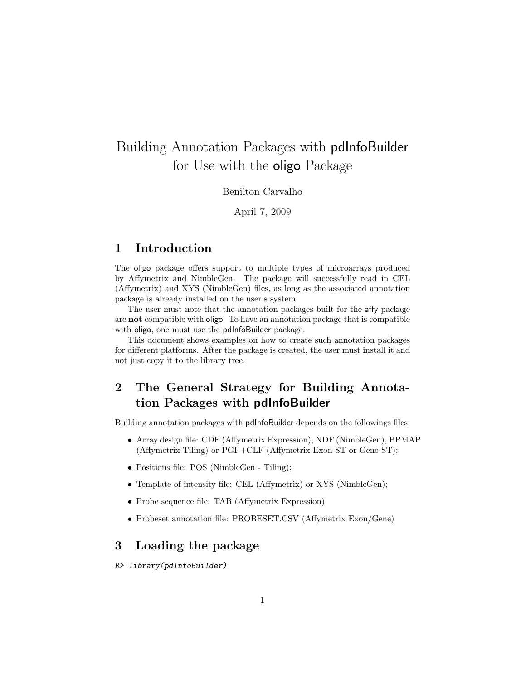# Building Annotation Packages with pdInfoBuilder for Use with the oligo Package

Benilton Carvalho

April 7, 2009

### 1 Introduction

The oligo package offers support to multiple types of microarrays produced by Affymetrix and NimbleGen. The package will successfully read in CEL (Affymetrix) and XYS (NimbleGen) files, as long as the associated annotation package is already installed on the user's system.

The user must note that the annotation packages built for the affy package are not compatible with oligo. To have an annotation package that is compatible with oligo, one must use the pdInfoBuilder package.

This document shows examples on how to create such annotation packages for different platforms. After the package is created, the user must install it and not just copy it to the library tree.

# 2 The General Strategy for Building Annotation Packages with pdInfoBuilder

Building annotation packages with pdInfoBuilder depends on the followings files:

- Array design file: CDF (Affymetrix Expression), NDF (NimbleGen), BPMAP (Affymetrix Tiling) or PGF+CLF (Affymetrix Exon ST or Gene ST);
- Positions file: POS (NimbleGen Tiling);
- Template of intensity file: CEL (Affymetrix) or XYS (NimbleGen);
- Probe sequence file: TAB (Affymetrix Expression)
- Probeset annotation file: PROBESET.CSV (Affymetrix Exon/Gene)

### 3 Loading the package

### R> library(pdInfoBuilder)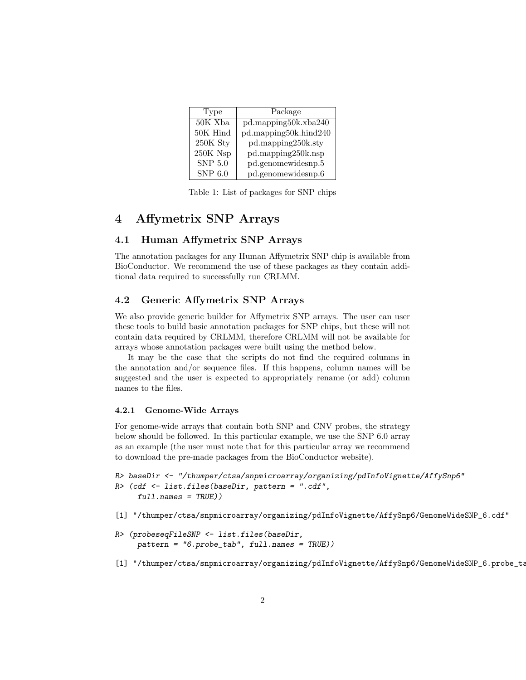| Type           | Package               |
|----------------|-----------------------|
| $50K$ Xba      | pd.mapping50k.xba240  |
| 50K Hind       | pd.mapping50k.hind240 |
| 250K Sty       | pd.mapping250k.sty    |
| 250K Nsp       | pd.mapping250k.nsp    |
| <b>SNP 5.0</b> | pd.genomewidesnp.5    |
| SNP 6.0        | pd.genomewidesnp.6    |

Table 1: List of packages for SNP chips

# 4 Affymetrix SNP Arrays

### 4.1 Human Affymetrix SNP Arrays

The annotation packages for any Human Affymetrix SNP chip is available from BioConductor. We recommend the use of these packages as they contain additional data required to successfully run CRLMM.

### 4.2 Generic Affymetrix SNP Arrays

We also provide generic builder for Affymetrix SNP arrays. The user can user these tools to build basic annotation packages for SNP chips, but these will not contain data required by CRLMM, therefore CRLMM will not be available for arrays whose annotation packages were built using the method below.

It may be the case that the scripts do not find the required columns in the annotation and/or sequence files. If this happens, column names will be suggested and the user is expected to appropriately rename (or add) column names to the files.

#### 4.2.1 Genome-Wide Arrays

For genome-wide arrays that contain both SNP and CNV probes, the strategy below should be followed. In this particular example, we use the SNP 6.0 array as an example (the user must note that for this particular array we recommend to download the pre-made packages from the BioConductor website).

```
R> baseDir <- "/thumper/ctsa/snpmicroarray/organizing/pdInfoVignette/AffySnp6"
R> (cdf <- list.files(baseDir, pattern = ".cdf",
     full.name = TRUE))
```
[1] "/thumper/ctsa/snpmicroarray/organizing/pdInfoVignette/AffySnp6/GenomeWideSNP\_6.cdf"

```
R> (probeseqFileSNP <- list.files(baseDir,
     pattern = "6.probe_tab", full.names = TRUE))
```
[1] "/thumper/ctsa/snpmicroarray/organizing/pdInfoVignette/AffySnp6/GenomeWideSNP\_6.probe\_ta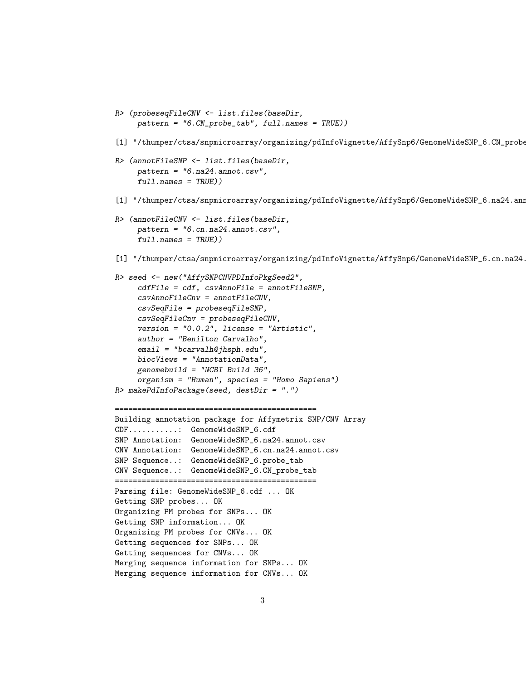```
R> (probeseqFileCNV <- list.files(baseDir,
     pattern = "6.CN_probe_tab", full.names = TRUE))
[1] "/thumper/ctsa/snpmicroarray/organizing/pdInfoVignette/AffySnp6/GenomeWideSNP_6.CN_probe
R> (annotFileSNP <- list.files(baseDir,
     pattern = "6.na24.annot.csv",
     full.name = TRUE))
[1] "/thumper/ctsa/snpmicroarray/organizing/pdInfoVignette/AffySnp6/GenomeWideSNP_6.na24.ann
R> (annotFileCNV <- list.files(baseDir,
     pattern = "6.cm.na24.annotation.comfull.name = TRUE))
[1] "/thumper/ctsa/snpmicroarray/organizing/pdInfoVignette/AffySnp6/GenomeWideSNP_6.cn.na24.
R> seed <- new("AffySNPCNVPDInfoPkgSeed2",
     cdfFile = cdf, csvAnnoFile = annotFileSNP,
     csvAnnoFileCnv = annotFileCNV,
     csvSeqFile = probeseqFileSNP,
     csvSeqFileCnv = probeseqFileCNV,
     version = "0.0.2", license = "Artistic",
     author = "Benilton Carvalho",
     email = "bcarvalh@jhsph.edu",
     biocViews = "AnnotationData",
     genomebuild = "NCBI Build 36",
     organism = "Human", species = "Homo Sapiens")
R> makePdInfoPackage(seed, destDir = ".")
=============================================
Building annotation package for Affymetrix SNP/CNV Array
CDF...........: GenomeWideSNP_6.cdf
SNP Annotation: GenomeWideSNP_6.na24.annot.csv
CNV Annotation: GenomeWideSNP_6.cn.na24.annot.csv
SNP Sequence..: GenomeWideSNP_6.probe_tab
CNV Sequence..: GenomeWideSNP_6.CN_probe_tab
=============================================
Parsing file: GenomeWideSNP_6.cdf ... OK
Getting SNP probes... OK
Organizing PM probes for SNPs... OK
Getting SNP information... OK
Organizing PM probes for CNVs... OK
Getting sequences for SNPs... OK
Getting sequences for CNVs... OK
Merging sequence information for SNPs... OK
Merging sequence information for CNVs... OK
```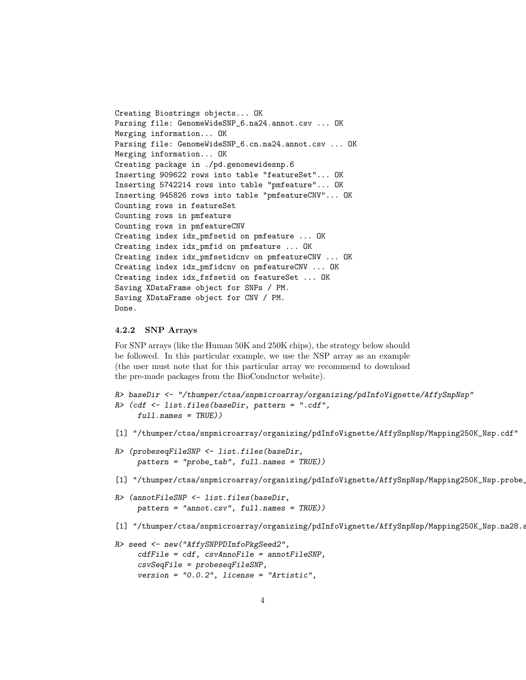```
Creating Biostrings objects... OK
Parsing file: GenomeWideSNP_6.na24.annot.csv ... OK
Merging information... OK
Parsing file: GenomeWideSNP_6.cn.na24.annot.csv ... OK
Merging information... OK
Creating package in ./pd.genomewidesnp.6
Inserting 909622 rows into table "featureSet"... OK
Inserting 5742214 rows into table "pmfeature"... OK
Inserting 945826 rows into table "pmfeatureCNV"... OK
Counting rows in featureSet
Counting rows in pmfeature
Counting rows in pmfeatureCNV
Creating index idx_pmfsetid on pmfeature ... OK
Creating index idx_pmfid on pmfeature ... OK
Creating index idx_pmfsetidcnv on pmfeatureCNV ... OK
Creating index idx_pmfidcnv on pmfeatureCNV ... OK
Creating index idx_fsfsetid on featureSet ... OK
Saving XDataFrame object for SNPs / PM.
Saving XDataFrame object for CNV / PM.
Done.
```
#### 4.2.2 SNP Arrays

For SNP arrays (like the Human 50K and 250K chips), the strategy below should be followed. In this particular example, we use the NSP array as an example (the user must note that for this particular array we recommend to download the pre-made packages from the BioConductor website).

```
R> baseDir <- "/thumper/ctsa/snpmicroarray/organizing/pdInfoVignette/AffySnpNsp"
R> (cdf <- list.files(baseDir, pattern = ".cdf",
     full.name = TRUE))
```
- [1] "/thumper/ctsa/snpmicroarray/organizing/pdInfoVignette/AffySnpNsp/Mapping250K\_Nsp.cdf"
- R> (probeseqFileSNP <- list.files(baseDir, pattern = "probe\_tab", full.names = TRUE))
- [1] "/thumper/ctsa/snpmicroarray/organizing/pdInfoVignette/AffySnpNsp/Mapping250K\_Nsp.probe\_
- R> (annotFileSNP <- list.files(baseDir, pattern = "annot.csv", full.names = TRUE))
- [1] "/thumper/ctsa/snpmicroarray/organizing/pdInfoVignette/AffySnpNsp/Mapping250K\_Nsp.na28.a

```
R> seed <- new("AffySNPPDInfoPkgSeed2",
     cdfFile = cdf, csvAnnoFile = annotFileSNP,
     csvSeqFile = probeseqFileSNP,
     version = "0.0.2", license = "Artistic",
```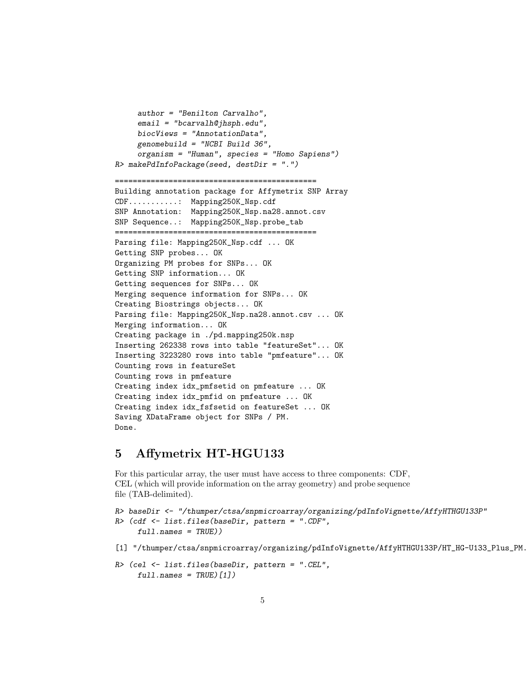```
author = "Benilton Carvalho",
     email = "bcarvalh@jhsph.edu",
     biocViews = "AnnotationData",
     genomebuild = "NCBI Build 36",
     organism = "Human", species = "Homo Sapiens")
R> makePdInfoPackage(seed, destDir = ".")
=============================================
Building annotation package for Affymetrix SNP Array
CDF...........: Mapping250K_Nsp.cdf
SNP Annotation: Mapping250K_Nsp.na28.annot.csv
SNP Sequence..: Mapping250K_Nsp.probe_tab
=============================================
Parsing file: Mapping250K_Nsp.cdf ... OK
Getting SNP probes... OK
Organizing PM probes for SNPs... OK
Getting SNP information... OK
Getting sequences for SNPs... OK
Merging sequence information for SNPs... OK
Creating Biostrings objects... OK
Parsing file: Mapping250K_Nsp.na28.annot.csv ... OK
Merging information... OK
Creating package in ./pd.mapping250k.nsp
Inserting 262338 rows into table "featureSet"... OK
Inserting 3223280 rows into table "pmfeature"... OK
Counting rows in featureSet
Counting rows in pmfeature
Creating index idx_pmfsetid on pmfeature ... OK
Creating index idx_pmfid on pmfeature ... OK
Creating index idx_fsfsetid on featureSet ... OK
Saving XDataFrame object for SNPs / PM.
Done.
```
### 5 Affymetrix HT-HGU133

For this particular array, the user must have access to three components: CDF, CEL (which will provide information on the array geometry) and probe sequence file (TAB-delimited).

```
R> baseDir <- "/thumper/ctsa/snpmicroarray/organizing/pdInfoVignette/AffyHTHGU133P"
R> (cdf <- list.files(baseDir, pattern = ".CDF",
     full.name = TRUE))
```

```
[1] "/thumper/ctsa/snpmicroarray/organizing/pdInfoVignette/AffyHTHGU133P/HT_HG-U133_Plus_PM.
```

```
R> (cel <- list.files(baseDir, pattern = ".CEL",
     full.name = TRUE)[1])
```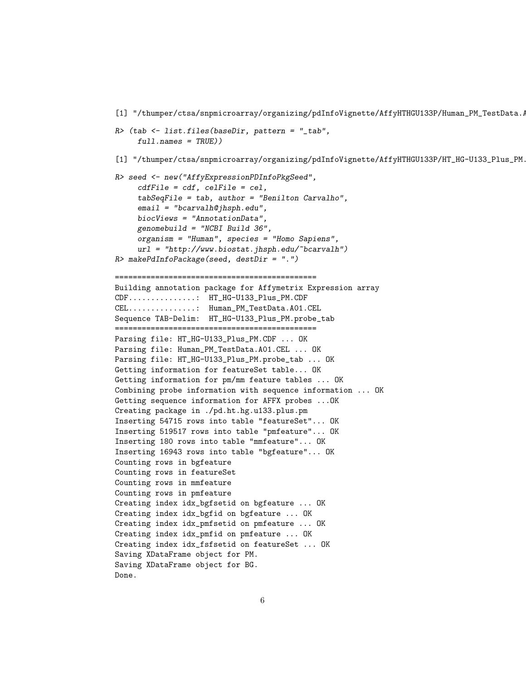```
[1] "/thumper/ctsa/snpmicroarray/organizing/pdInfoVignette/AffyHTHGU133P/Human_PM_TestData./
R> (tab <- list.files(baseDir, pattern = "_tab",
     full.name = TRUE))
[1] "/thumper/ctsa/snpmicroarray/organizing/pdInfoVignette/AffyHTHGU133P/HT_HG-U133_Plus_PM.
R> seed <- new("AffyExpressionPDInfoPkgSeed",
     cdfFile = cdf, cellFile = cel,tabSeqFile = tab, author = "Benilton Carvalho",
     email = "bcarvalh@jhsph.edu",
     biocViews = "AnnotationData",
     genomebuild = "NCBI Build 36",
     organism = "Human", species = "Homo Sapiens",
     url = "http://www.biostat.jhsph.edu/~bcarvalh")R> makePdInfoPackage(seed, destDir = ".")
=============================================
Building annotation package for Affymetrix Expression array
CDF...............: HT_HG-U133_Plus_PM.CDF
CEL...............: Human_PM_TestData.A01.CEL
Sequence TAB-Delim: HT_HG-U133_Plus_PM.probe_tab
=============================================
Parsing file: HT_HG-U133_Plus_PM.CDF ... OK
Parsing file: Human_PM_TestData.A01.CEL ... OK
Parsing file: HT_HG-U133_Plus_PM.probe_tab ... OK
Getting information for featureSet table... OK
Getting information for pm/mm feature tables ... OK
Combining probe information with sequence information ... OK
Getting sequence information for AFFX probes ...OK
Creating package in ./pd.ht.hg.u133.plus.pm
Inserting 54715 rows into table "featureSet"... OK
Inserting 519517 rows into table "pmfeature"... OK
Inserting 180 rows into table "mmfeature"... OK
Inserting 16943 rows into table "bgfeature"... OK
Counting rows in bgfeature
Counting rows in featureSet
Counting rows in mmfeature
Counting rows in pmfeature
Creating index idx_bgfsetid on bgfeature ... OK
Creating index idx_bgfid on bgfeature ... OK
Creating index idx_pmfsetid on pmfeature ... OK
Creating index idx_pmfid on pmfeature ... OK
Creating index idx_fsfsetid on featureSet ... OK
Saving XDataFrame object for PM.
Saving XDataFrame object for BG.
Done.
```

```
6
```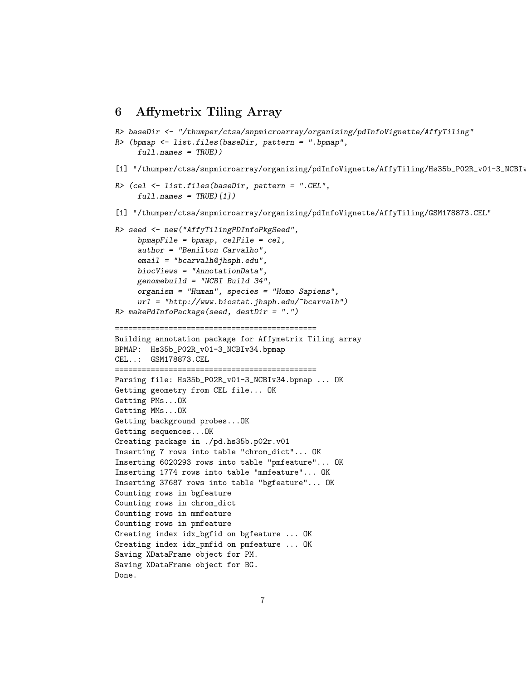### 6 Affymetrix Tiling Array

```
R> baseDir <- "/thumper/ctsa/snpmicroarray/organizing/pdInfoVignette/AffyTiling"
R> (bpmap <- list.files(baseDir, pattern = ".bpmap",
     full.name = TRUE))
[1] "/thumper/ctsa/snpmicroarray/organizing/pdInfoVignette/AffyTiling/Hs35b_P02R_v01-3_NCBIv
R> (cel <- list.files(baseDir, pattern = ".CEL",
     full.name = TRUE)[1][1] "/thumper/ctsa/snpmicroarray/organizing/pdInfoVignette/AffyTiling/GSM178873.CEL"
R> seed <- new("AffyTilingPDInfoPkgSeed",
     bpmapFile = bpmap, celFile = cel,
     author = "Benilton Carvalho",
     email = "bcarvalh@jhsph.edu",
     biocViews = "AnnotationData",
     genomebuild = "NCBI Build 34",
     organism = "Human", species = "Homo Sapiens",
     url = "http://www.biostat.jhsph.edu/~bcarvalh")
R> makePdInfoPackage(seed, destDir = ".")
=============================================
Building annotation package for Affymetrix Tiling array
BPMAP: Hs35b_P02R_v01-3_NCBIv34.bpmap
CEL..: GSM178873.CEL
=============================================
Parsing file: Hs35b_P02R_v01-3_NCBIv34.bpmap ... OK
Getting geometry from CEL file... OK
Getting PMs...OK
Getting MMs...OK
Getting background probes...OK
Getting sequences...OK
Creating package in ./pd.hs35b.p02r.v01
Inserting 7 rows into table "chrom_dict"... OK
Inserting 6020293 rows into table "pmfeature"... OK
Inserting 1774 rows into table "mmfeature"... OK
Inserting 37687 rows into table "bgfeature"... OK
Counting rows in bgfeature
Counting rows in chrom_dict
Counting rows in mmfeature
Counting rows in pmfeature
Creating index idx_bgfid on bgfeature ... OK
Creating index idx_pmfid on pmfeature ... OK
Saving XDataFrame object for PM.
Saving XDataFrame object for BG.
Done.
```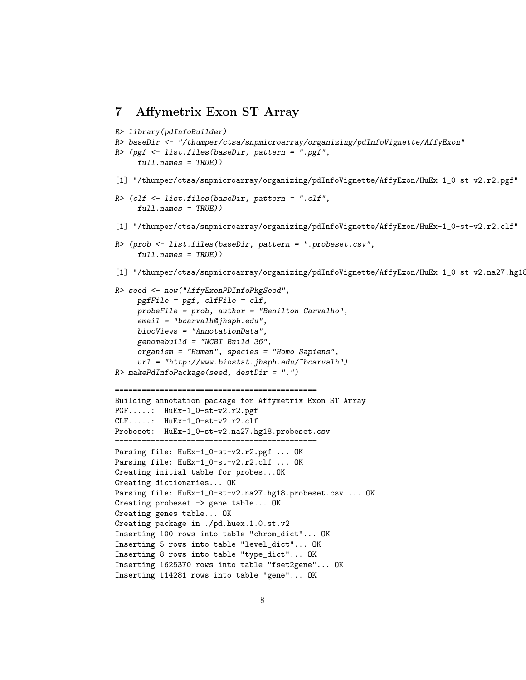```
7 Affymetrix Exon ST Array
```

```
R> library(pdInfoBuilder)
R> baseDir <- "/thumper/ctsa/snpmicroarray/organizing/pdInfoVignette/AffyExon"
R> (pgf <- list.files(baseDir, pattern = ".pgf",
     full.name = TRUE))
[1] "/thumper/ctsa/snpmicroarray/organizing/pdInfoVignette/AffyExon/HuEx-1_0-st-v2.r2.pgf"
R> (clf <- list.files(baseDir, pattern = ".clf",
     full.name = TRUE))
[1] "/thumper/ctsa/snpmicroarray/organizing/pdInfoVignette/AffyExon/HuEx-1_0-st-v2.r2.clf"
R> (prob <- list.files(baseDir, pattern = ".probeset.csv",
     full.name = TRUE))
[1] "/thumper/ctsa/snpmicroarray/organizing/pdInfoVignette/AffyExon/HuEx-1_0-st-v2.na27.hg18
R> seed <- new("AffyExonPDInfoPkgSeed",
    pgffile = pgf, clffile = clf,
     probeFile = prob, author = "Benilton Carvalho",
     email = "bcarvalh@jhsph.edu",
     biocViews = "AnnotationData",
     genomebuild = "NCBI Build 36",
     organism = "Human", species = "Homo Sapiens",
     url = "http://www.biostat.jhsph.edu/~bcarvalh")
R makePdInfoPackage(seed, destDir = ".")
=============================================
Building annotation package for Affymetrix Exon ST Array
PGF.....: HuEx-1_0-st-v2.r2.pgf
CLF.....: HuEx-1_0-st-v2.r2.clf
Probeset: HuEx-1_0-st-v2.na27.hg18.probeset.csv
=============================================
Parsing file: HuEx-1_0-st-v2.r2.pgf ... OK
Parsing file: HuEx-1_0-st-v2.r2.clf ... OK
Creating initial table for probes...OK
Creating dictionaries... OK
Parsing file: HuEx-1_0-st-v2.na27.hg18.probeset.csv ... OK
Creating probeset -> gene table... OK
Creating genes table... OK
Creating package in ./pd.huex.1.0.st.v2
Inserting 100 rows into table "chrom_dict"... OK
Inserting 5 rows into table "level_dict"... OK
Inserting 8 rows into table "type_dict"... OK
Inserting 1625370 rows into table "fset2gene"... OK
Inserting 114281 rows into table "gene"... OK
```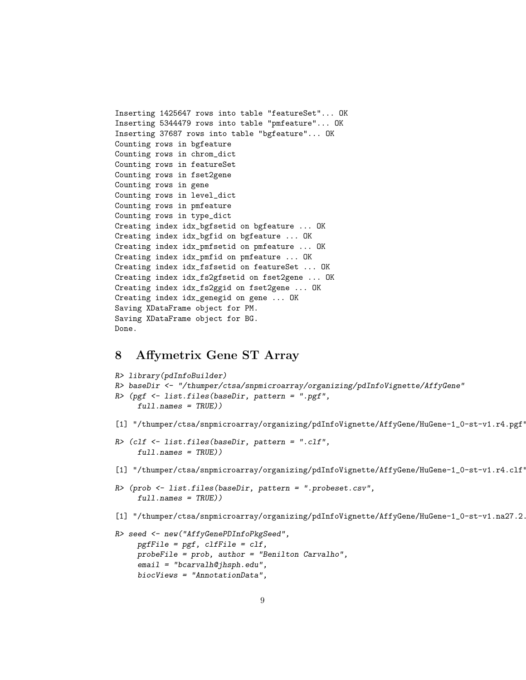```
Inserting 1425647 rows into table "featureSet"... OK
Inserting 5344479 rows into table "pmfeature"... OK
Inserting 37687 rows into table "bgfeature"... OK
Counting rows in bgfeature
Counting rows in chrom_dict
Counting rows in featureSet
Counting rows in fset2gene
Counting rows in gene
Counting rows in level_dict
Counting rows in pmfeature
Counting rows in type_dict
Creating index idx_bgfsetid on bgfeature ... OK
Creating index idx_bgfid on bgfeature ... OK
Creating index idx_pmfsetid on pmfeature ... OK
Creating index idx_pmfid on pmfeature ... OK
Creating index idx_fsfsetid on featureSet ... OK
Creating index idx_fs2gfsetid on fset2gene ... OK
Creating index idx_fs2ggid on fset2gene ... OK
Creating index idx_genegid on gene ... OK
Saving XDataFrame object for PM.
Saving XDataFrame object for BG.
Done.
```
# 8 Affymetrix Gene ST Array

biocViews = "AnnotationData",

```
R> library(pdInfoBuilder)
R> baseDir <- "/thumper/ctsa/snpmicroarray/organizing/pdInfoVignette/AffyGene"
R> (pgf <- list.files(baseDir, pattern = ".pgf",
     full.names = TRUE))
[1] "/thumper/ctsa/snpmicroarray/organizing/pdInfoVignette/AffyGene/HuGene-1_0-st-v1.r4.pgf"
R> (clf <- list.files(baseDir, pattern = ".clf",
     full.name = TRUE))
[1] "/thumper/ctsa/snpmicroarray/organizing/pdInfoVignette/AffyGene/HuGene-1_0-st-v1.r4.clf"
R> (prob <- list.files(baseDir, pattern = ".probeset.csv",
     full.name = TRUE))
[1] "/thumper/ctsa/snpmicroarray/organizing/pdInfoVignette/AffyGene/HuGene-1_0-st-v1.na27.2.
R> seed <- new("AffyGenePDInfoPkgSeed",
     pgffile = pgf, clfFile = clf,
    probeFile = prob, author = "Benilton Carvalho",
     email = "bcarvalh@jhsph.edu",
```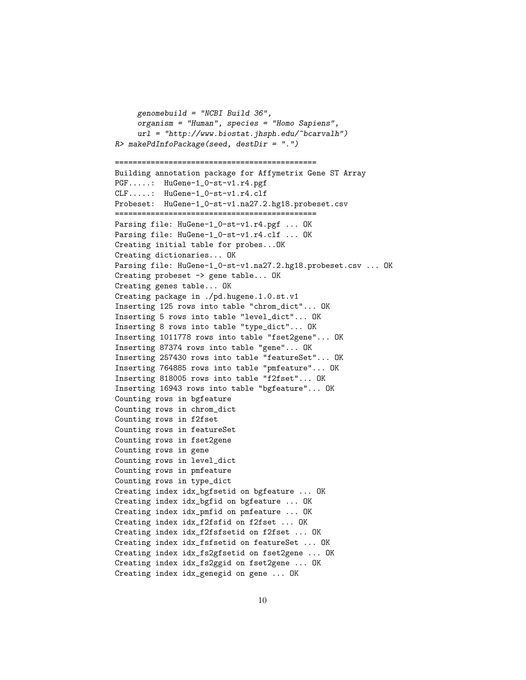```
genomebuild = "NCBI Build 36",
     organism = "Human", species = "Homo Sapiens",
     url = "http://www.biostat.jhsph.edu/~bcarvalh")
R> makePdInfoPackage(seed, destDir = ".")
=============================================
Building annotation package for Affymetrix Gene ST Array
PGF.....: HuGene-1_0-st-v1.r4.pgf
CLF.....: HuGene-1_0-st-v1.r4.clf
Probeset: HuGene-1_0-st-v1.na27.2.hg18.probeset.csv
=============================================
Parsing file: HuGene-1_0-st-v1.r4.pgf ... OK
Parsing file: HuGene-1_0-st-v1.r4.clf ... OK
Creating initial table for probes...OK
Creating dictionaries... OK
Parsing file: HuGene-1_0-st-v1.na27.2.hg18.probeset.csv ... OK
Creating probeset -> gene table... OK
Creating genes table... OK
Creating package in ./pd.hugene.1.0.st.v1
Inserting 125 rows into table "chrom_dict"... OK
Inserting 5 rows into table "level_dict"... OK
Inserting 8 rows into table "type_dict"... OK
Inserting 1011778 rows into table "fset2gene"... OK
Inserting 87374 rows into table "gene"... OK
Inserting 257430 rows into table "featureSet"... OK
Inserting 764885 rows into table "pmfeature"... OK
Inserting 818005 rows into table "f2fset"... OK
Inserting 16943 rows into table "bgfeature"... OK
Counting rows in bgfeature
Counting rows in chrom_dict
Counting rows in f2fset
Counting rows in featureSet
Counting rows in fset2gene
Counting rows in gene
Counting rows in level_dict
Counting rows in pmfeature
Counting rows in type_dict
Creating index idx_bgfsetid on bgfeature ... OK
Creating index idx_bgfid on bgfeature ... OK
Creating index idx_pmfid on pmfeature ... OK
Creating index idx_f2fsfid on f2fset ... OK
Creating index idx_f2fsfsetid on f2fset ... OK
Creating index idx_fsfsetid on featureSet ... OK
Creating index idx_fs2gfsetid on fset2gene ... OK
Creating index idx_fs2ggid on fset2gene ... OK
Creating index idx_genegid on gene ... OK
```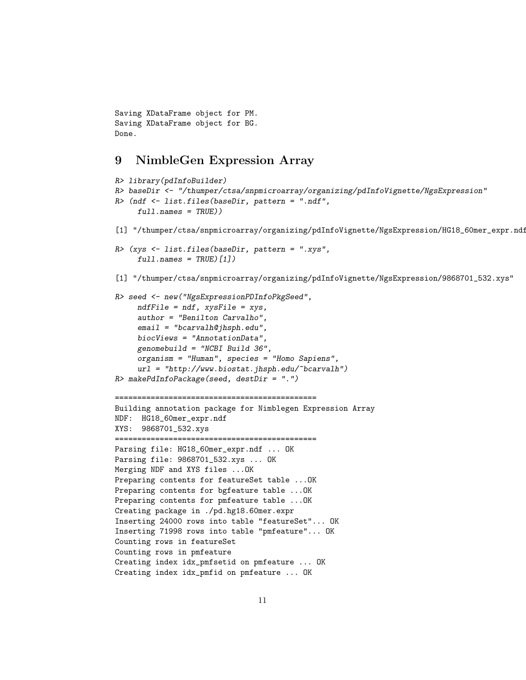```
Saving XDataFrame object for PM.
Saving XDataFrame object for BG.
Done.
```
### 9 NimbleGen Expression Array

```
R> library(pdInfoBuilder)
R> baseDir <- "/thumper/ctsa/snpmicroarray/organizing/pdInfoVignette/NgsExpression"
R> (ndf <- list.files(baseDir, pattern = ".ndf",
     full.name = TRUE))
[1] "/thumper/ctsa/snpmicroarray/organizing/pdInfoVignette/NgsExpression/HG18_60mer_expr.ndf"
R> (xys <- list.files(baseDir, pattern = ".xys",
     full.name = TRUE)[1])[1] "/thumper/ctsa/snpmicroarray/organizing/pdInfoVignette/NgsExpression/9868701_532.xys"
R> seed <- new("NgsExpressionPDInfoPkgSeed",
     ndfFile = ndf, xysFile = xys,
     author = "Benilton Carvalho",
     email = "bcarvalh@jhsph.edu",
     biocViews = "AnnotationData",
     genomebuild = "NCBI Build 36",
     organism = "Human", species = "Homo Sapiens",
     url = "http://www.biostat.jhsph.edu/~bcarvalh")
R> makePdInfoPackage(seed, destDir = ".")
=============================================
Building annotation package for Nimblegen Expression Array
NDF: HG18_60mer_expr.ndf
XYS: 9868701_532.xys
=============================================
Parsing file: HG18_60mer_expr.ndf ... OK
Parsing file: 9868701_532.xys ... OK
Merging NDF and XYS files ...OK
Preparing contents for featureSet table ...OK
Preparing contents for bgfeature table ...OK
Preparing contents for pmfeature table ...OK
Creating package in ./pd.hg18.60mer.expr
Inserting 24000 rows into table "featureSet"... OK
Inserting 71998 rows into table "pmfeature"... OK
Counting rows in featureSet
Counting rows in pmfeature
Creating index idx_pmfsetid on pmfeature ... OK
Creating index idx_pmfid on pmfeature ... OK
```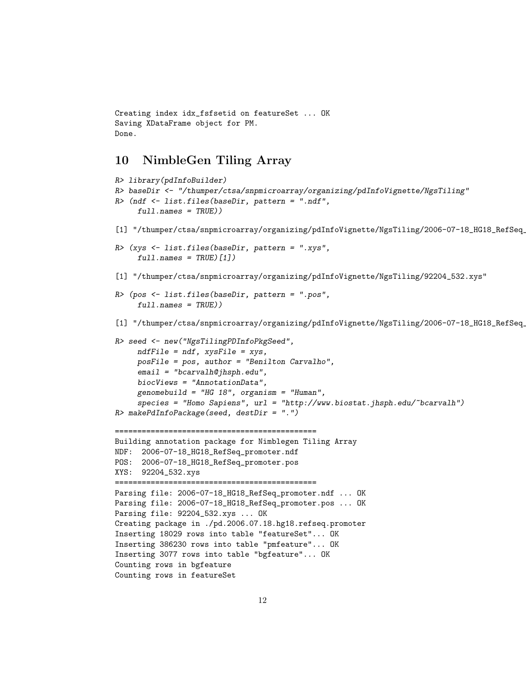```
Creating index idx_fsfsetid on featureSet ... OK
Saving XDataFrame object for PM.
Done.
```
# 10 NimbleGen Tiling Array

```
R> library(pdInfoBuilder)
R> baseDir <- "/thumper/ctsa/snpmicroarray/organizing/pdInfoVignette/NgsTiling"
R> (ndf <- list.files(baseDir, pattern = ".ndf",
     full.name = TRUE))
[1] "/thumper/ctsa/snpmicroarray/organizing/pdInfoVignette/NgsTiling/2006-07-18_HG18_RefSeq_
R> (xys <- list.files(baseDir, pattern = ".xys",
     full.name = TRUE)[1][1] "/thumper/ctsa/snpmicroarray/organizing/pdInfoVignette/NgsTiling/92204_532.xys"
R> (pos <- list.files(baseDir, pattern = ".pos",
     full.name = TRUE))
[1] "/thumper/ctsa/snpmicroarray/organizing/pdInfoVignette/NgsTiling/2006-07-18_HG18_RefSeq_
R> seed <- new("NgsTilingPDInfoPkgSeed",
    ndfFile = ndf, xysFile = xys,
     posFile = pos, author = "Benilton Carvalho",
     email = "bcarvalh@jhsph.edu",
     biocViews = "AnnotationData",
     genomebuild = "HG 18", organism = "Human",species = "Homo Sapiens", url = "http://www.biostat.jhsph.edu/~bcarvalh")
R> makePdInfoPackage(seed, destDir = ".")
=============================================
Building annotation package for Nimblegen Tiling Array
NDF: 2006-07-18_HG18_RefSeq_promoter.ndf
POS: 2006-07-18_HG18_RefSeq_promoter.pos
XYS: 92204_532.xys
=============================================
Parsing file: 2006-07-18_HG18_RefSeq_promoter.ndf ... OK
Parsing file: 2006-07-18_HG18_RefSeq_promoter.pos ... OK
Parsing file: 92204_532.xys ... OK
Creating package in ./pd.2006.07.18.hg18.refseq.promoter
Inserting 18029 rows into table "featureSet"... OK
Inserting 386230 rows into table "pmfeature"... OK
Inserting 3077 rows into table "bgfeature"... OK
Counting rows in bgfeature
Counting rows in featureSet
```